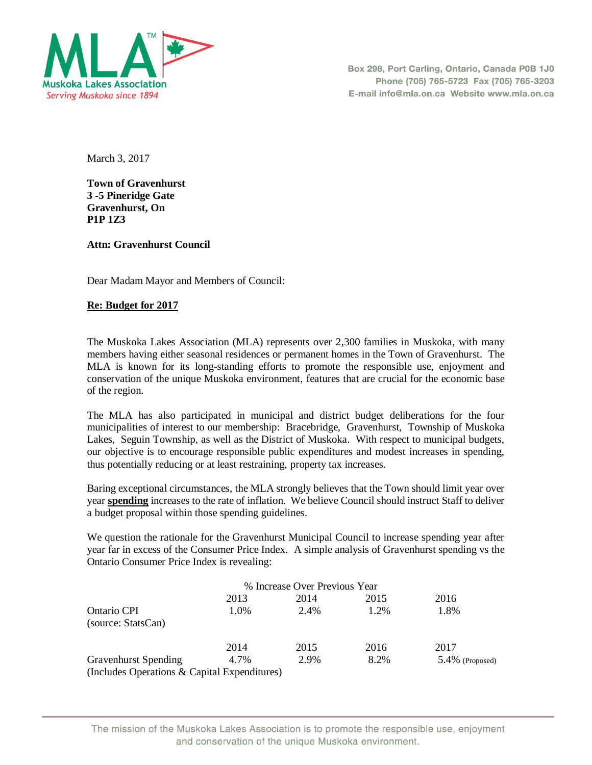

Box 298, Port Carling, Ontario, Canada P0B 1J0 Phone (705) 765-5723 Fax (705) 765-3203 E-mail info@mla.on.ca Website www.mla.on.ca

March 3, 2017

**Town of Gravenhurst 3 -5 Pineridge Gate Gravenhurst, On P1P 1Z3** 

**Attn: Gravenhurst Council**

Dear Madam Mayor and Members of Council:

## **Re: Budget for 2017**

The Muskoka Lakes Association (MLA) represents over 2,300 families in Muskoka, with many members having either seasonal residences or permanent homes in the Town of Gravenhurst. The MLA is known for its long-standing efforts to promote the responsible use, enjoyment and conservation of the unique Muskoka environment, features that are crucial for the economic base of the region.

The MLA has also participated in municipal and district budget deliberations for the four municipalities of interest to our membership: Bracebridge, Gravenhurst, Township of Muskoka Lakes, Seguin Township, as well as the District of Muskoka. With respect to municipal budgets, our objective is to encourage responsible public expenditures and modest increases in spending, thus potentially reducing or at least restraining, property tax increases.

Baring exceptional circumstances, the MLA strongly believes that the Town should limit year over year **spending** increases to the rate of inflation. We believe Council should instruct Staff to deliver a budget proposal within those spending guidelines.

We question the rationale for the Gravenhurst Municipal Council to increase spending year after year far in excess of the Consumer Price Index. A simple analysis of Gravenhurst spending vs the Ontario Consumer Price Index is revealing:

|                                              |      | % Increase Over Previous Year |      |                    |  |
|----------------------------------------------|------|-------------------------------|------|--------------------|--|
|                                              | 2013 | 2014                          | 2015 | 2016               |  |
| Ontario CPI                                  | 1.0% | 2.4%                          | 1.2% | 1.8%               |  |
| (source: StatsCan)                           |      |                               |      |                    |  |
|                                              | 2014 | 2015                          | 2016 | 2017               |  |
| <b>Gravenhurst Spending</b>                  | 4.7% | 2.9%                          | 8.2% | $5.4\%$ (Proposed) |  |
| (Includes Operations & Capital Expenditures) |      |                               |      |                    |  |